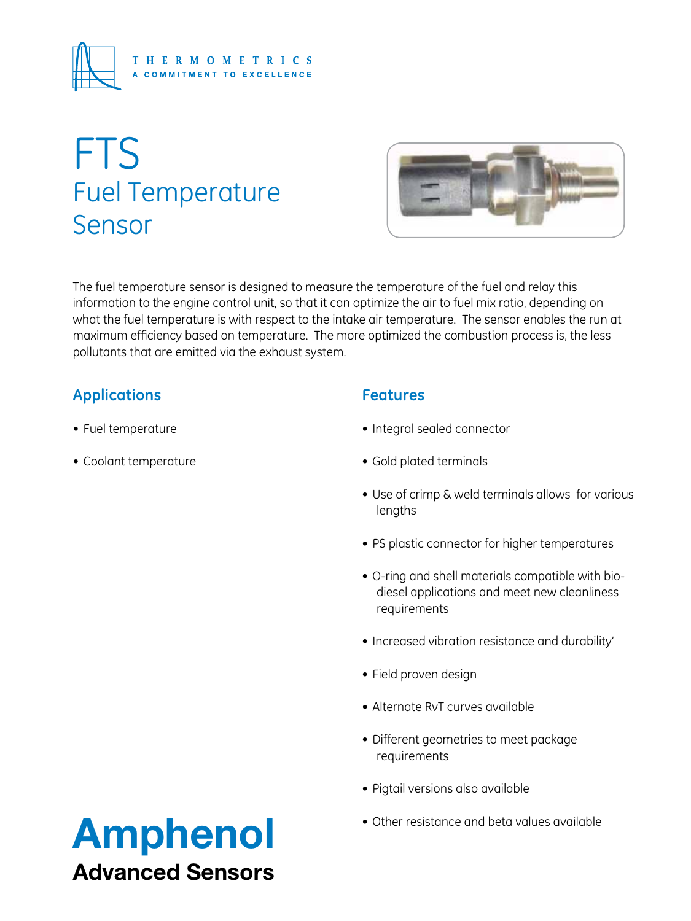

# FTS Fuel Temperature Sensor



The fuel temperature sensor is designed to measure the temperature of the fuel and relay this information to the engine control unit, so that it can optimize the air to fuel mix ratio, depending on what the fuel temperature is with respect to the intake air temperature. The sensor enables the run at maximum efficiency based on temperature. The more optimized the combustion process is, the less pollutants that are emitted via the exhaust system.

## **Applications**

- Fuel temperature
- • Coolant temperature

## **Features**

- • Integral sealed connector
- • Gold plated terminals
- Use of crimp & weld terminals allows for various lengths
- PS plastic connector for higher temperatures
- • O-ring and shell materials compatible with biodiesel applications and meet new cleanliness requirements
- Increased vibration resistance and durability'
- • Field proven design
- Alternate RvT curves available
- Different geometries to meet package requirements
- • Pigtail versions also available
- 

## Amphenol **Amphenol** Advanced Sensors